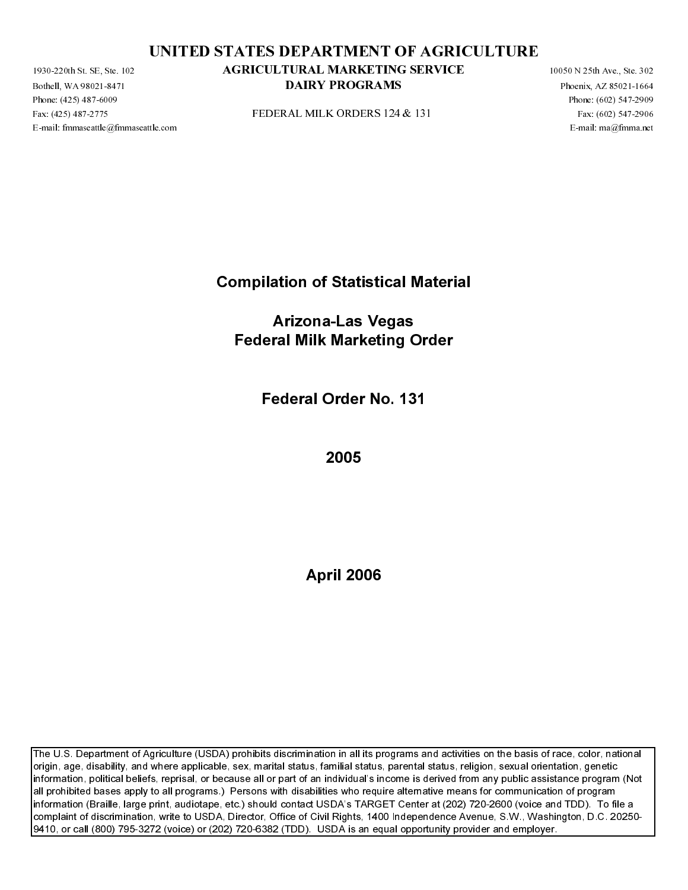Fax: (425) 487-2775 FEDERAL MILK ORDERS 124 & 131 Fax: (602) 547-2906

Bothell, WA 98021-8471<br>Bothell, WA 98021-8471<br>Phone: (425) 487-2775<br>E-mail: fmmaseattle@fmma Phone:  $(425)$  487-6009<br>Fax:  $(425)$  487-6009<br>Fax:  $(425)$  487-2775<br>E-mail: fmmaseattle@fmm

Compilation of Statistical Material

PEDERAL MILK ORDERS 124 & 131<br>
Prod interactivistic compositions<br>
Front interactivistic compositions<br>
Pederal Milk Marketing Order<br>
Pederal Order No. 131<br>
2005 E-mail: Compilation of Statistical Material<br>Arizona-Las Vegas<br>Federal Milk Marketing Order<br>Federal Order No. 131<br>2005<br>April 2006 Arizona-Las Vegas Federal Milk Marketing Order

Federal Order No. 131

2005

April 2006

**DAIRY PROGRAMS**<br>
INDUSAL MILK ORDERS 124 R 131<br>
IDENTAL MERKETING AGRICULTURE ORDERS 125 R 151<br>
The stellar steep in the stellar order of the stellar steep in the stellar steep in the stellar steep in the stellar steep i AI. MITK ORDFRS 124 & 131<br>
Descriptions (481-1612)<br>
Francisco 2021-2-339<br>
Francisco 2021-2-339<br>
FROM CHER SURGER<br>
DRIERY PROGRAMS PROGRAMS PROGRAMS PROGRAMS<br>
DRIERY PROGRAMS PROGRAMS PROGRAMS CONTINUES ON THE SURGER CONT The U.S. Department of Agriculture (USDA) prohibits discrimination in all its programs and activities on the basis of race, color, national origin, age, disability, and where applicable, sex, marital status, familial status, parental status, religion, sexual orientation, genetic information, political beliefs, reprisal, or because all or part of an individual's income is derived from any public assistance program (Not all prohibited bases apply to all programs.) Persons with disabilities who require alternative means for communication of program information (Braille, large print, audiotape, etc.) should contact USDA's TARGET Center at (202) 720-2600 (voice and TDD). To file a complaint of discrimination, write to USDA, Director, Office of Civil Rights, 1400 Independence Avenue, S.W., Washington, D.C. 20250- 9410, or call (800) 795-3272 (voice) or (202) 720-6382 (TDD). USDA is an equal opportunity provider and employer. AGRICULTURAL MARKETING SERVICE<br>
DAIRY PROGRAMS<br>
ULDURAL MILK ORDERS D24 & 131<br>
National<br>
Compilation of Statistical Material<br>
Arizonal-Las Vegas<br>
Federal Milk Marketing Order<br>
Federal Order No. 131<br>
2005<br>
2005<br>
We also a s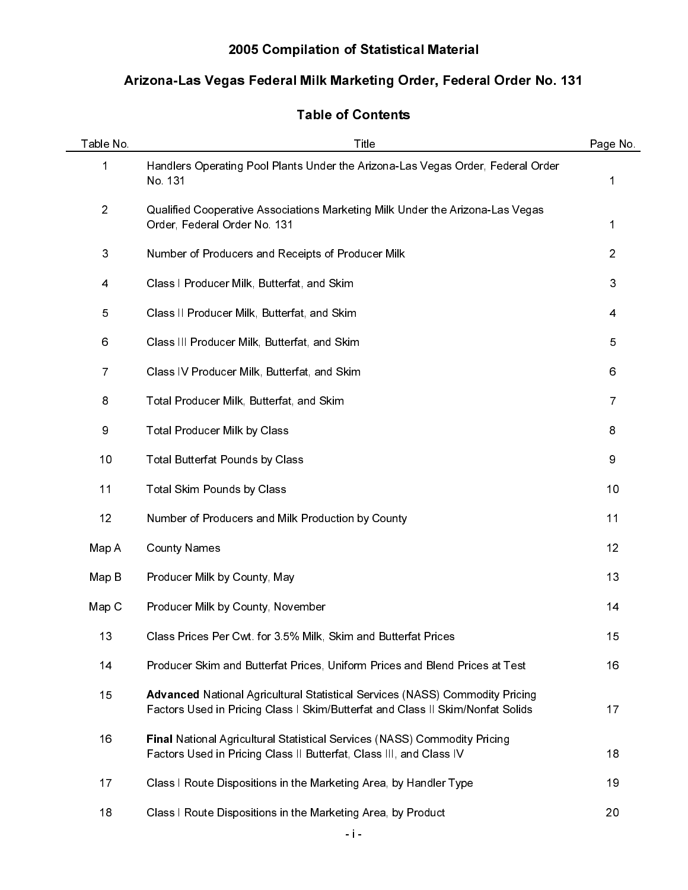# 2005 Compilation of Statistical Material

# Arizona-Las Vegas Federal Milk Marketing Order, Federal Order No. 131

# Table of Contents

| Table No.      | Title                                                                                                                                                                 | Page No.       |
|----------------|-----------------------------------------------------------------------------------------------------------------------------------------------------------------------|----------------|
| 1              | Handlers Operating Pool Plants Under the Arizona-Las Vegas Order, Federal Order<br>No. 131                                                                            | 1              |
| $\sqrt{2}$     | Qualified Cooperative Associations Marketing Milk Under the Arizona-Las Vegas<br>Order, Federal Order No. 131                                                         | 1              |
| 3              | Number of Producers and Receipts of Producer Milk                                                                                                                     | $\overline{2}$ |
| 4              | Class I Producer Milk, Butterfat, and Skim                                                                                                                            | 3              |
| 5              | Class II Producer Milk, Butterfat, and Skim                                                                                                                           | 4              |
| 6              | Class III Producer Milk, Butterfat, and Skim                                                                                                                          | 5              |
| $\overline{7}$ | Class IV Producer Milk, Butterfat, and Skim                                                                                                                           | 6              |
| 8              | Total Producer Milk, Butterfat, and Skim                                                                                                                              | 7              |
| 9              | Total Producer Milk by Class                                                                                                                                          | 8              |
| 10             | Total Butterfat Pounds by Class                                                                                                                                       | 9              |
| 11             | Total Skim Pounds by Class                                                                                                                                            | 10             |
| 12             | Number of Producers and Milk Production by County                                                                                                                     | 11             |
| Map A          | <b>County Names</b>                                                                                                                                                   | 12             |
| Map B          | Producer Milk by County, May                                                                                                                                          | 13             |
| Map C          | Producer Milk by County, November                                                                                                                                     | 14             |
| 13             | Class Prices Per Cwt for 3.5% Milk, Skim and Butterfat Prices                                                                                                         | 15             |
| 14             | Producer Skim and Butterfat Prices, Uniform Prices and Blend Prices at Test                                                                                           | 16             |
| 15             | <b>Advanced National Agricultural Statistical Services (NASS) Commodity Pricing</b><br>Factors Used in Pricing Class I Skim/Butterfat and Class II Skim/Nonfat Solids | 17             |
| 16             | Final National Agricultural Statistical Services (NASS) Commodity Pricing<br>Factors Used in Pricing Class II Butterfat, Class III, and Class IV                      | 18             |
| 17             | Class I Route Dispositions in the Marketing Area, by Handler Type                                                                                                     | 19             |
| 18             | Class I Route Dispositions in the Marketing Area, by Product                                                                                                          | 20             |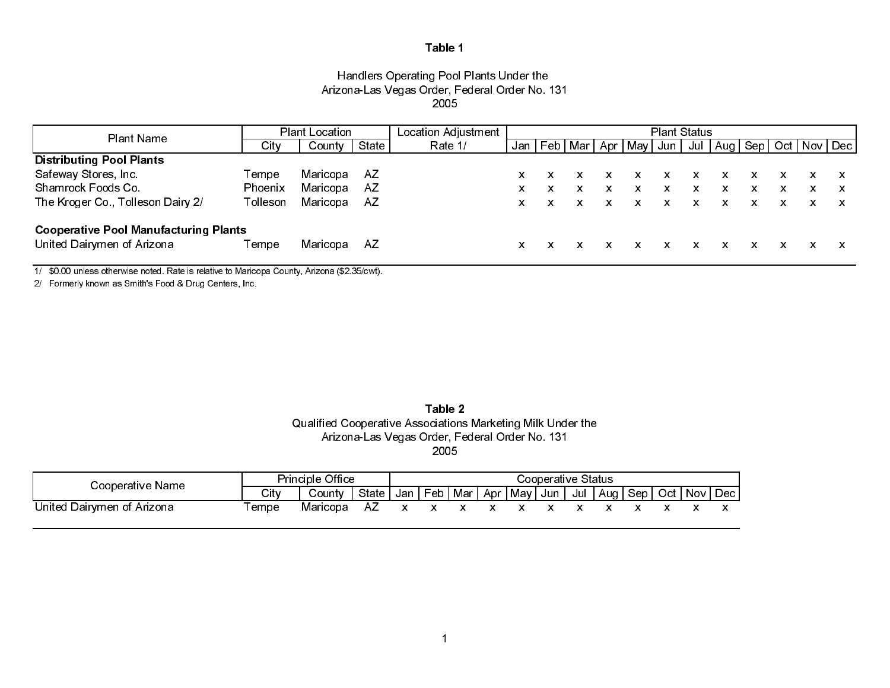## Handlers Operating Pool Plants Under the Arizona-Las Vegas Order, Federal Order No. 131 2005

| Plant Name                                   |          | <b>Plant Location</b> |       | Location Adjustment | <b>Plant Status</b> |   |  |   |                       |       |   |                                   |   |   |   |  |
|----------------------------------------------|----------|-----------------------|-------|---------------------|---------------------|---|--|---|-----------------------|-------|---|-----------------------------------|---|---|---|--|
|                                              | City     | County                | State | Rate 1/             | Jan                 |   |  |   | Feb   Mar   Apr   May | Jun I |   | Jul   Aug   Sep   Oct   Nov   Dec |   |   |   |  |
| <b>Distributing Pool Plants</b>              |          |                       |       |                     |                     |   |  |   |                       |       |   |                                   |   |   |   |  |
| Safeway Stores, Inc.                         | Tempe    | Maricopa              | AZ    |                     | x                   |   |  | x |                       | X.    | X |                                   |   |   |   |  |
| Shamrock Foods Co.                           | Phoenix  | Maricopa              | AZ    |                     | x                   | x |  | x |                       | x     | x | x                                 | x | x | x |  |
| The Kroger Co., Tolleson Dairy 2/            | Tolleson | Maricopa              | AZ    |                     | x                   |   |  | x |                       | X.    | x | x                                 | x |   |   |  |
| <b>Cooperative Pool Manufacturing Plants</b> |          |                       |       |                     |                     |   |  |   |                       |       |   |                                   |   |   |   |  |
| United Dairymen of Arizona                   | Tempe    | Maricopa              | AZ    |                     | x                   |   |  |   |                       | x     |   |                                   |   |   |   |  |

1/ \$0.00 unless otherwise noted. Rate is relative to Maricopa County, Arizona (\$2.35/cwt).

2/ Formerly known as Smith's Food & Drug Centers, Inc.

Table 2 Qualified Cooperative Associations Marketing Milk Under the Arizona-Las Vegas Order, Federal Order No. 131 2005

| Cooperative Name           | <b>Principle Office</b><br>Cooperative Status |          |         |  |  |  |  |                                                  |  |  |
|----------------------------|-----------------------------------------------|----------|---------|--|--|--|--|--------------------------------------------------|--|--|
|                            | City                                          | County   | State I |  |  |  |  | ,Jan丨Feb丨Mar丨Apr丨May丨Jun丨Jul丨Aug丨Sep丨Oct丨Nov丨Dec |  |  |
| United Dairymen of Arizona | ⊺empe                                         | Maricopa |         |  |  |  |  |                                                  |  |  |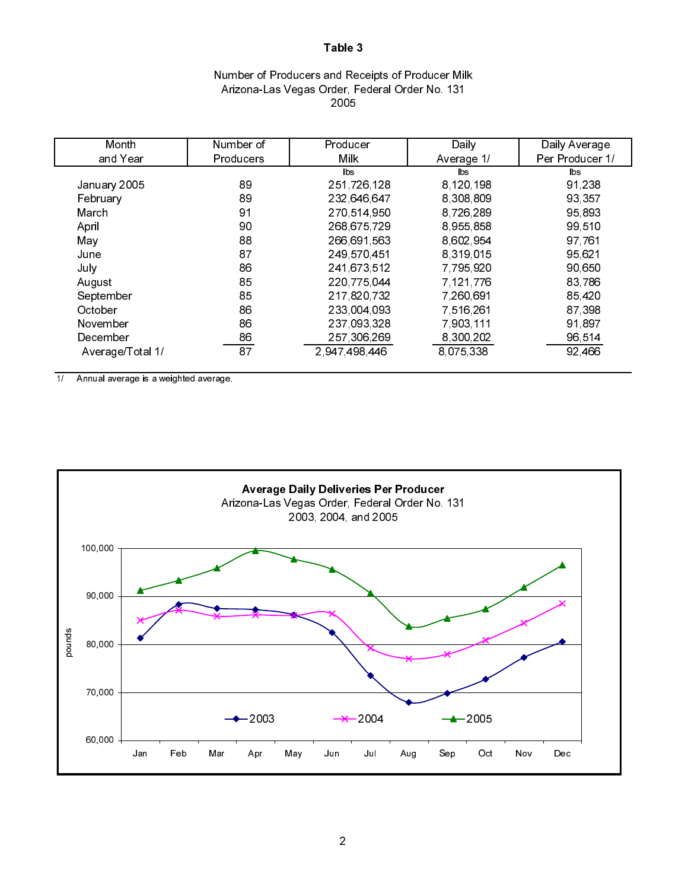## Number of Producers and Receipts of Producer Milk Arizona-Las Vegas Order, Federal Order No. 131 2005

| Month            | Number of        | Producer      | Daily      | Daily Average   |
|------------------|------------------|---------------|------------|-----------------|
| and Year         | <b>Producers</b> | Milk          | Average 1/ | Per Producer 1/ |
|                  |                  | lbs           | lbs.       | lbs             |
| January 2005     | 89               | 251,726,128   | 8,120,198  | 91,238          |
| February         | 89               | 232 646 647   | 8,308,809  | 93,357          |
| March            | 91               | 270 514 950   | 8,726,289  | 95 893          |
| April            | 90               | 268 675 729   | 8 955 858  | 99,510          |
| May              | 88               | 266,691,563   | 8,602,954  | 97,761          |
| June             | 87               | 249 570 451   | 8,319,015  | 95,621          |
| July             | 86               | 241,673,512   | 7,795,920  | 90,650          |
| August           | 85               | 220 775 044   | 7,121,776  | 83,786          |
| September        | 85               | 217,820,732   | 7,260,691  | 85 4 20         |
| October          | 86               | 233 004 093   | 7 516 261  | 87,398          |
| November         | 86               | 237 093 328   | 7,903,111  | 91,897          |
| December         | 86               | 257,306,269   | 8,300,202  | 96 514          |
| Average/Total 1/ | 87               | 2 947 498 446 | 8,075,338  | 92,466          |

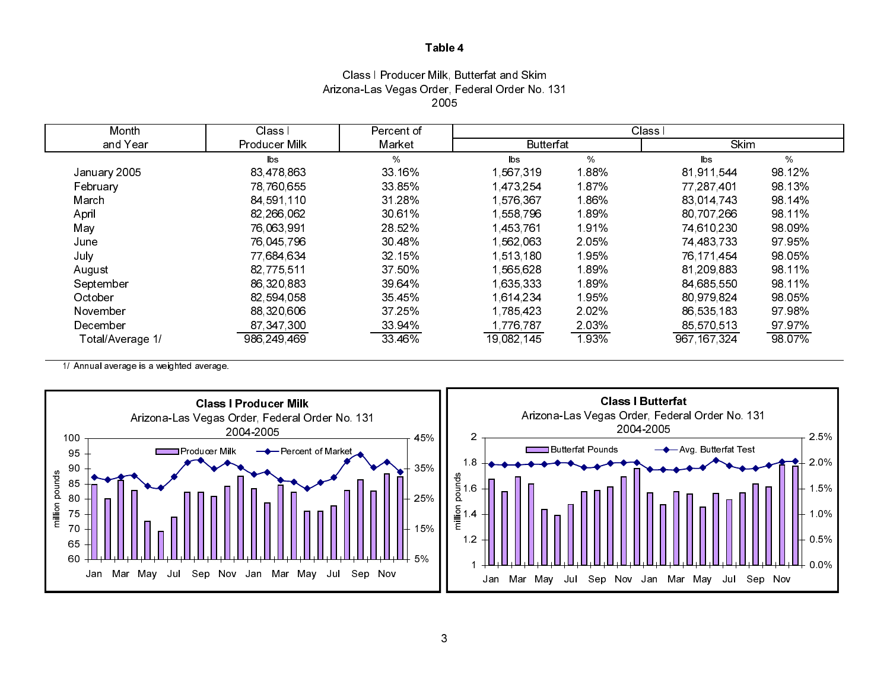## Class I Producer Milk, Butterfat and Skim Arizona-Las Vegas Order, Federal Order No. 131 2005

| Month            | Class I       | Percent of | Class I          |         |             |        |  |
|------------------|---------------|------------|------------------|---------|-------------|--------|--|
| and Year         | Producer Milk | Market     | <b>Butterfat</b> |         | Skim        |        |  |
|                  | lbs           | %          | $\mathsf{lbs}$   | $\%$    | <b>lbs</b>  | %      |  |
| January 2005     | 83,478,863    | 33 16%     | 1,567,319        | 1.88%   | 81 911 544  | 98.12% |  |
| February         | 78,760,655    | 33 85%     | 1,473,254        | 1.87%   | 77 287 401  | 98 13% |  |
| March            | 84,591,110    | 31 28%     | 1,576,367        | 1.86%   | 83 014 743  | 98.14% |  |
| April            | 82,266,062    | 30 61%     | 1 558 796        | 1.89%   | 80 707 266  | 98.11% |  |
| May              | 76,063,991    | 28.52%     | 1,453,761        | 1.91%   | 74,610,230  | 98 09% |  |
| June             | 76,045,796    | 30 48%     | 1 562 063        | 2 0 5 % | 74,483,733  | 97 95% |  |
| July             | 77 684 634    | 32 15%     | 1,513,180        | 1.95%   | 76 171 454  | 98.05% |  |
| August           | 82 775 511    | 37 50%     | 1 565 628        | 1.89%   | 81,209,883  | 98.11% |  |
| September        | 86,320,883    | 39 64%     | 1,635,333        | 1.89%   | 84,685,550  | 98.11% |  |
| October          | 82,594,058    | 35 45%     | 1,614,234        | 1.95%   | 80 979 824  | 98.05% |  |
| November         | 88 320 606    | 37 25%     | 1,785,423        | 2 0 2 % | 86 535 183  | 97 98% |  |
| December         | 87 347 300    | 33 94%     | 1776,787         | 2.03%   | 85,570,513  | 97 97% |  |
| Total/Average 1/ | 986 249 469   | 33 46%     | 19,082,145       | 1.93%   | 967 167 324 | 98.07% |  |

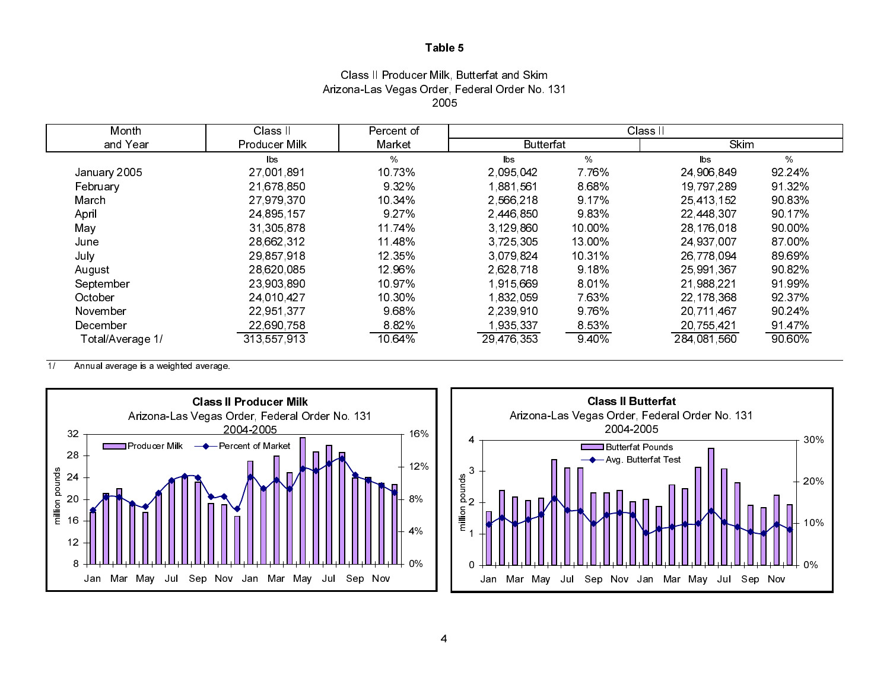## Class II Producer Milk, Butterfat and Skim Arizona-Las Vegas Order, Federal Order No. 131 2005

| Month            | Class II      | Percent of |                  |         | Class II      |        |
|------------------|---------------|------------|------------------|---------|---------------|--------|
| and Year         | Producer Milk | Market     | <b>Butterfat</b> |         | Skim          |        |
|                  | lbs.          | $\%$       | $\mathsf{lbs}$   | $\%$    | $\mathsf{ls}$ | $\%$   |
| January 2005     | 27 001 891    | 10.73%     | 2.095.042        | 7.76%   | 24,906,849    | 92 24% |
| February         | 21,678,850    | 932%       | 1.881.561        | 8.68%   | 19,797,289    | 91 32% |
| March            | 27 979 370    | 10.34%     | 2,566,218        | 9.17%   | 25,413,152    | 90.83% |
| April            | 24 895 157    | 9 2 7 %    | 2446,850         | 9.83%   | 22 448 307    | 90.17% |
| May              | 31,305,878    | 11.74%     | 3 129 860        | 10 00%  | 28 176 018    | 90.00% |
| June             | 28,662,312    | 11 48%     | 3 7 25 3 05      | 13 00%  | 24,937,007    | 87 00% |
| July             | 29 857 918    | 12 35%     | 3 0 79 8 24      | 10 31%  | 26 778 094    | 89 69% |
| August           | 28,620,085    | 12.96%     | 2,628,718        | 9 18%   | 25,991,367    | 90 82% |
| September        | 23,903,890    | 10 97%     | 1915.669         | 801%    | 21 988 221    | 91.99% |
| October          | 24,010,427    | 10 30%     | 1,832,059        | 763%    | 22, 178, 368  | 92 37% |
| November         | 22,951,377    | 9.68%      | 2.239.910        | 9 76%   | 20,711,467    | 90 24% |
| December         | 22,690,758    | 8.82%      | 1,935,337        | 8 5 3 % | 20 755 421    | 91 47% |
| Total/Average 1/ | 313 557 913   | 10.64%     | 29 476 353       | 9.40%   | 284,081,560   | 90.60% |



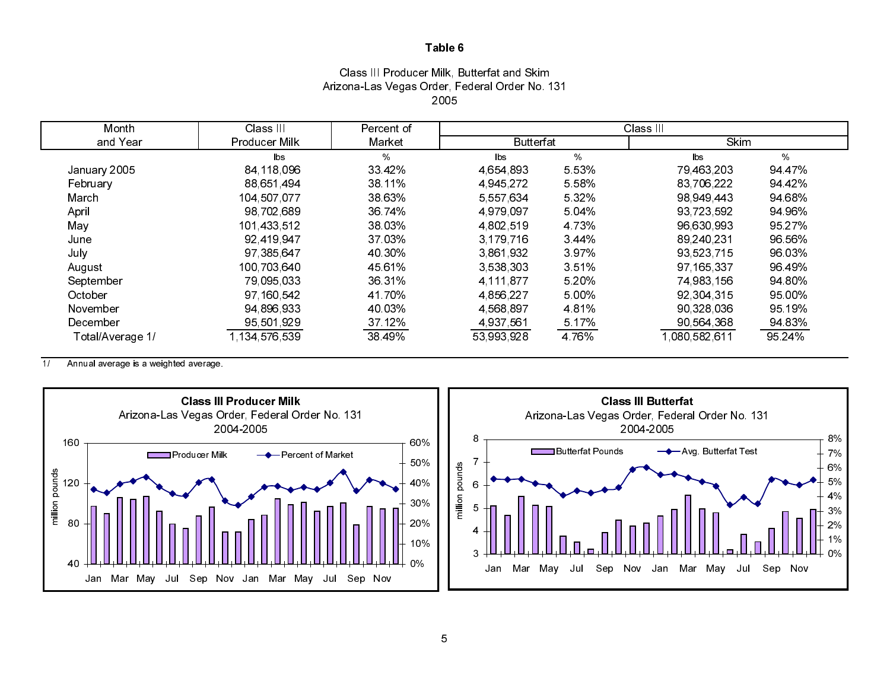## Class III Producer Milk, Butterfat and Skim Arizona-Las Vegas Order, Federal Order No. 131 2005

| Month            | Class III              | Percent of | Class III        |         |               |        |  |  |
|------------------|------------------------|------------|------------------|---------|---------------|--------|--|--|
| and Year         | Producer Milk          | Market     | <b>Butterfat</b> |         | Skim          |        |  |  |
|                  | $\mathsf{b}\mathsf{s}$ | $\%$       | $\mathsf{lbs}$   | %       | lbs.          | %      |  |  |
| January 2005     | 84,118,096             | 33 4 2%    | 4,654,893        | 5.53%   | 79,463,203    | 94 47% |  |  |
| February         | 88,651,494             | 38.11%     | 4 945 272        | 5.58%   | 83 706 222    | 94 42% |  |  |
| March            | 104 507 077            | 38 63%     | 5 557 634        | 5 3 2 % | 98 949 443    | 94.68% |  |  |
| April            | 98,702,689             | 36 74%     | 4 979 097        | 5 04%   | 93 723 592    | 94 96% |  |  |
| May              | 101,433,512            | 38 03%     | 4,802,519        | 4 7 3 % | 96,630,993    | 95.27% |  |  |
| June             | 92 419 947             | 37 03%     | 3, 179, 716      | 3 4 4 % | 89,240,231    | 96 56% |  |  |
| July             | 97,385,647             | 40 30%     | 3861932          | 397%    | 93 523 715    | 96 03% |  |  |
| August           | 100 703 640            | 45 61%     | 3,538,303        | 351%    | 97, 165, 337  | 96 49% |  |  |
| September        | 79,095,033             | 36 31%     | 4 111 877        | 5 20%   | 74,983,156    | 94.80% |  |  |
| October          | 97, 160, 542           | 41.70%     | 4 856 227        | 5 00%   | 92 304 315    | 95 00% |  |  |
| November         | 94 896 933             | 40.03%     | 4 5 68 8 97      | 4 8 1 % | 90,328,036    | 95 19% |  |  |
| December         | 95 501 929             | 37 12%     | 4 937 561        | 5 17%   | 90 564 368    | 94.83% |  |  |
| Total/Average 1/ | 1 134 576 539          | 38 49%     | 53 993 928       | 4 7 6 % | 1,080,582,611 | 95 24% |  |  |

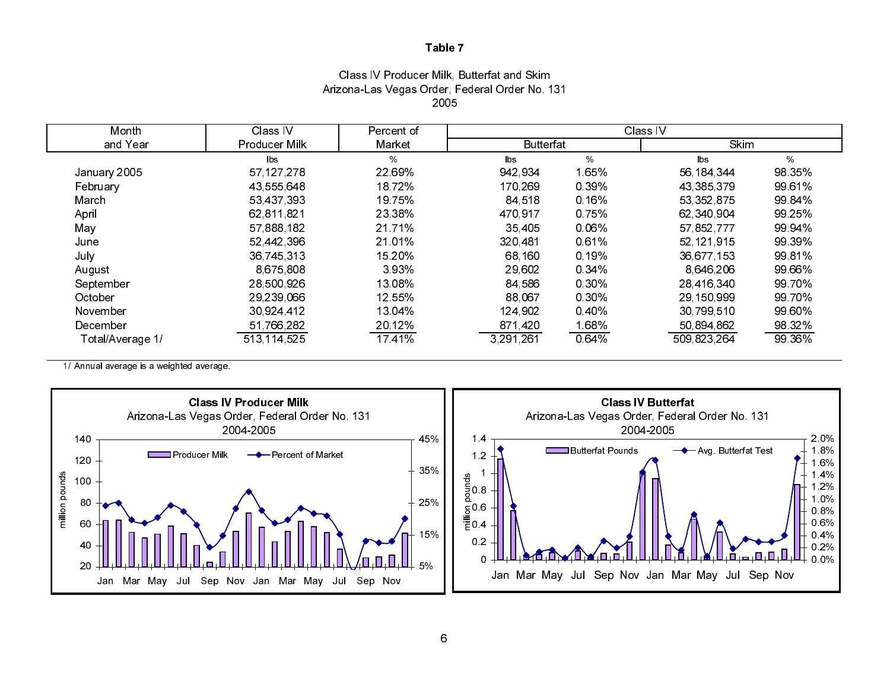## Class IV Producer Milk, Butterfat and Skim Arizona-Las Vegas Order, Federal Order No. 131 2005

| Month            | Class IV             | Percent of | Class IV         |       |                |        |
|------------------|----------------------|------------|------------------|-------|----------------|--------|
| and Year         | <b>Producer Milk</b> | Market     | <b>Butterfat</b> |       | <b>Skim</b>    |        |
|                  | <b>lbs</b>           | $\%$       | $\mathsf{lbs}$   | %     | $\mathsf{lbs}$ | %      |
| January 2005     | 57 127 278           | 22.69%     | 942.934          | 1.65% | 56, 184, 344   | 98 35% |
| February         | 43,555,648           | 18.72%     | 170,269          | 0.39% | 43 385 379     | 99.61% |
| March            | 53,437,393           | 19 75%     | 84 518           | 0.16% | 53, 352, 875   | 99 84% |
| April            | 62,811,821           | 23 38%     | 470.917          | 075%  | 62 340 904     | 99 25% |
| May              | 57,888,182           | 21.71%     | 35,405           | 0.06% | 57,852,777     | 99 94% |
| June             | 52 442 396           | 21.01%     | 320,481          | 0.61% | 52 121 915     | 99 39% |
| July             | 36,745,313           | 15 20%     | 68,160           | 0.19% | 36,677,153     | 99 81% |
| August           | 8 675 808            | 393%       | 29,602           | 0 34% | 8 646 206      | 99.66% |
| September        | 28,500,926           | 13.08%     | 84 586           | 0.30% | 28,416,340     | 99 70% |
| October          | 29,239,066           | 12 55%     | 88,067           | 0.30% | 29 150 999     | 99 70% |
| November         | 30.924 412           | 13.04%     | 124 902          | 0.40% | 30 799 510     | 99 60% |
| December         | 51,766,282           | 20 12%     | 871,420          | 1.68% | 50,894,862     | 98 32% |
| Total/Average 1/ | 513 114 525          | 17 41%     | 3,291,261        | 0 64% | 509 823 264    | 99 36% |

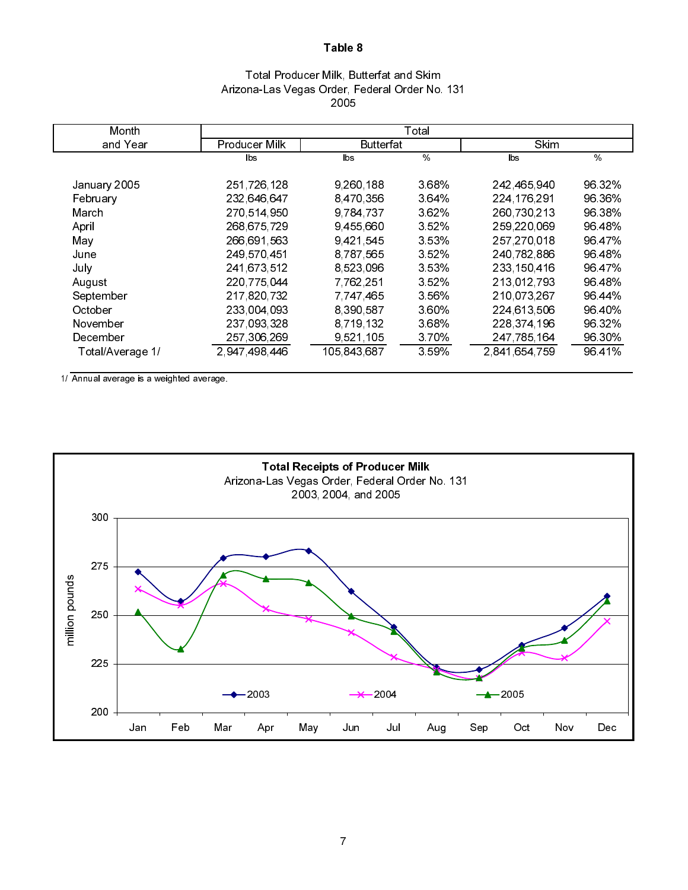## Total Producer Milk, Butterfat and Skim Arizona-Las Vegas Order, Federal Order No. 131 2005

| Month            |               |                  | Total   |               |        |
|------------------|---------------|------------------|---------|---------------|--------|
| and Year         | Producer Milk | <b>Butterfat</b> |         | Skim          |        |
|                  | lbs.          | lbs.             | $\%$    | lbs           | $\%$   |
| January 2005     | 251 726 128   | 9,260,188        | 3.68%   | 242,465,940   | 96 32% |
| February         | 232 646 647   | 8 470 356        | 3.64%   | 224 176 291   | 96.36% |
| March            | 270 514 950   | 9 784 737        | 3.62%   | 260 730 213   | 96 38% |
| April            | 268 675 729   | 9455660          | 3.52%   | 259 220 069   | 96 48% |
| May              | 266,691,563   | 9421545          | 3.53%   | 257,270,018   | 96 47% |
| June             | 249 570 451   | 8,787,565        | 3 5 2 % | 240 782 886   | 96 48% |
| July             | 241,673,512   | 8,523,096        | 353%    | 233 150 416   | 96 47% |
| August           | 220 775 044   | 7 762 251        | 352%    | 213 012 793   | 96.48% |
| September        | 217,820,732   | 7,747,465        | 3.56%   | 210,073,267   | 96.44% |
| October          | 233 004 093   | 8,390,587        | 3.60%   | 224 613 506   | 96 40% |
| November         | 237 093 328   | 8 719 132        | 3.68%   | 228 374 196   | 96 32% |
| December         | 257, 306, 269 | 9,521,105        | 370%    | 247 785 164   | 96 30% |
| Total/Average 1/ | 2 947 498 446 | 105 843 687      | 3 5 9 % | 2,841,654,759 | 96 41% |

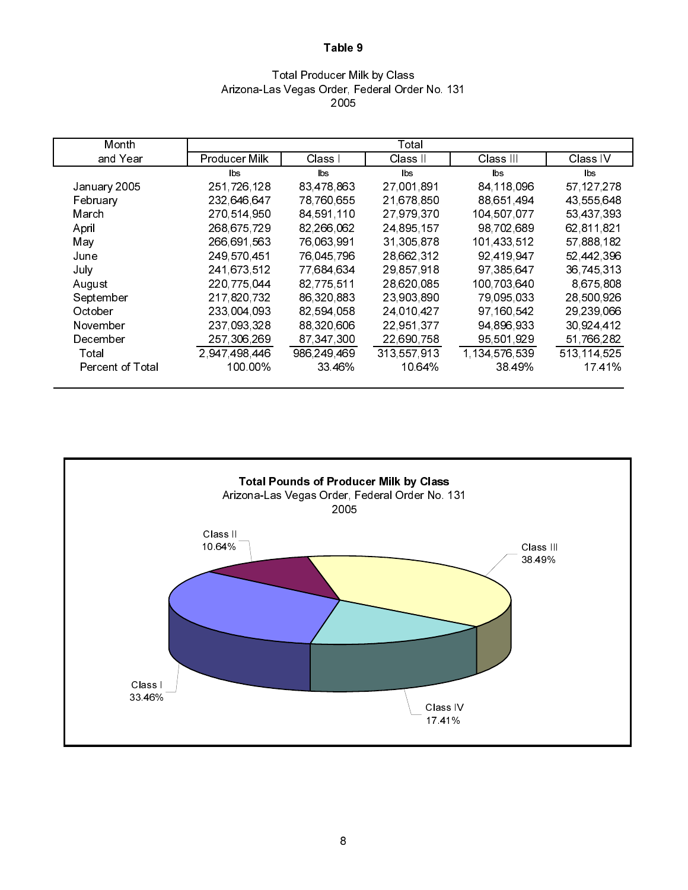### Total Producer Milk by Class Arizona-Las Vegas Order, Federal Order No. 131 2005

| Month            |                      |             | Total                  |               |              |
|------------------|----------------------|-------------|------------------------|---------------|--------------|
| and Year         | <b>Producer Milk</b> | Class I     | Class II               | Class III     | Class IV     |
|                  | bs                   | <b>lbs</b>  | $\mathsf{b}\mathsf{s}$ | lbs.          | lbs.         |
| January 2005     | 251,726,128          | 83,478,863  | 27 001 891             | 84, 118, 096  | 57, 127, 278 |
| February         | 232,646,647          | 78 760 655  | 21,678,850             | 88 651 494    | 43,555,648   |
| March            | 270,514,950          | 84 591 110  | 27,979,370             | 104,507,077   | 53,437,393   |
| April            | 268,675,729          | 82,266,062  | 24 895 157             | 98 702 689    | 62,811,821   |
| May              | 266,691,563          | 76,063,991  | 31,305,878             | 101 433 512   | 57 888 182   |
| June             | 249 570 451          | 76,045,796  | 28,662,312             | 92 419 947    | 52,442,396   |
| July             | 241,673,512          | 77,684,634  | 29,857,918             | 97 385 647    | 36,745,313   |
| August           | 220 775 044          | 82,775,511  | 28,620,085             | 100 703 640   | 8,675,808    |
| September        | 217,820,732          | 86,320,883  | 23,903,890             | 79,095,033    | 28,500,926   |
| October          | 233,004,093          | 82,594,058  | 24 010 427             | 97 160 542    | 29 239 066   |
| November         | 237,093,328          | 88,320,606  | 22,951,377             | 94,896,933    | 30,924,412   |
| December         | 257, 306, 269        | 87 347 300  | 22,690,758             | 95,501,929    | 51,766,282   |
| Total            | 2 947 498 446        | 986 249 469 | 313 557 913            | 1 134 576 539 | 513 114 525  |
| Percent of Total | 100 00%              | 33 46%      | 10.64%                 | 38 49%        | 1741%        |

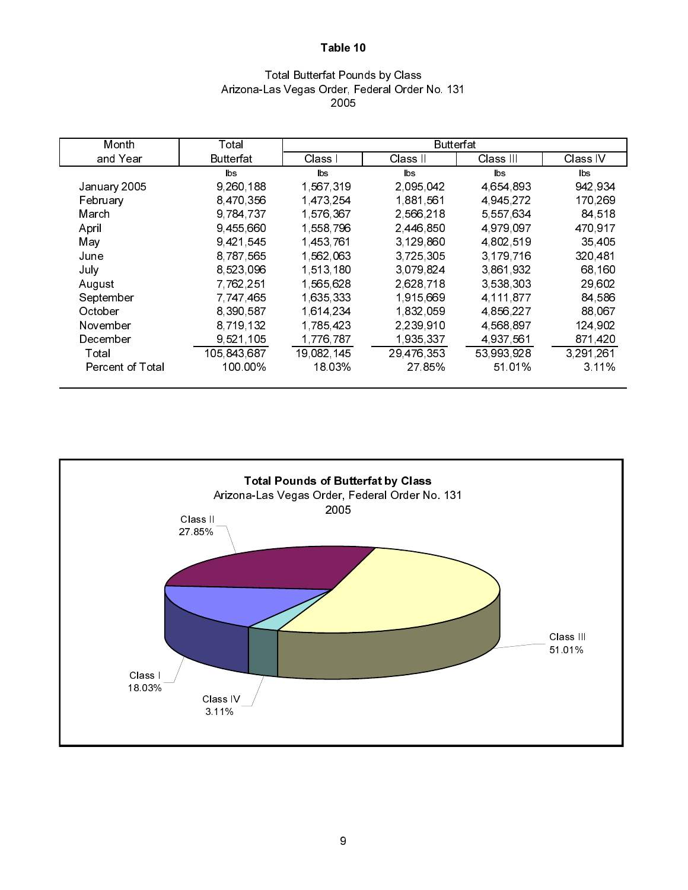# Total Butterfat Pounds by Class Arizona-Las Vegas Order, Federal Order No. 131 2005

| Month                   | Total       |             | Butterfat  |             |           |
|-------------------------|-------------|-------------|------------|-------------|-----------|
| and Year                | Butterfat   | Class I     | Class II   | Class III   | Class IV  |
|                         | lbs         | lbs.        | lbs.       | lbs         | lbs.      |
| January 2005            | 9,260,188   | 1,567,319   | 2 095 042  | 4 654 893   | 942,934   |
| February                | 8,470,356   | 1,473,254   | 1.881.561  | 4,945,272   | 170,269   |
| March                   | 9,784,737   | 1 576 367   | 2,566,218  | 5,557,634   | 84 518    |
| April                   | 9,455,660   | 1,558,796   | 2,446,850  | 4 979 097   | 470,917   |
| May                     | 9,421,545   | 1,453,761   | 3 129 860  | 4,802,519   | 35 405    |
| June                    | 8,787,565   | 1 562 063   | 3,725,305  | 3, 179, 716 | 320,481   |
| July                    | 8 5 23 0 96 | 1,513,180   | 3.079.824  | 3,861,932   | 68,160    |
| August                  | 7 762 251   | 1,565,628   | 2,628,718  | 3,538,303   | 29,602    |
| September               | 7 747 465   | 1,635,333   | 1,915,669  | 4 111 877   | 84 586    |
| October                 | 8 390 587   | 1 6 14 2 34 | 1,832,059  | 4 856 227   | 88,067    |
| November                | 8,719,132   | 1,785,423   | 2.239,910  | 4 568 897   | 124,902   |
| December                | 9,521,105   | 1,776,787   | 1,935,337  | 4 937 561   | 871,420   |
| Total                   | 105,843,687 | 19,082,145  | 29,476,353 | 53,993,928  | 3,291,261 |
| <b>Percent of Total</b> | 100.00%     | 18.03%      | 27 85%     | 51.01%      | $3.11\%$  |

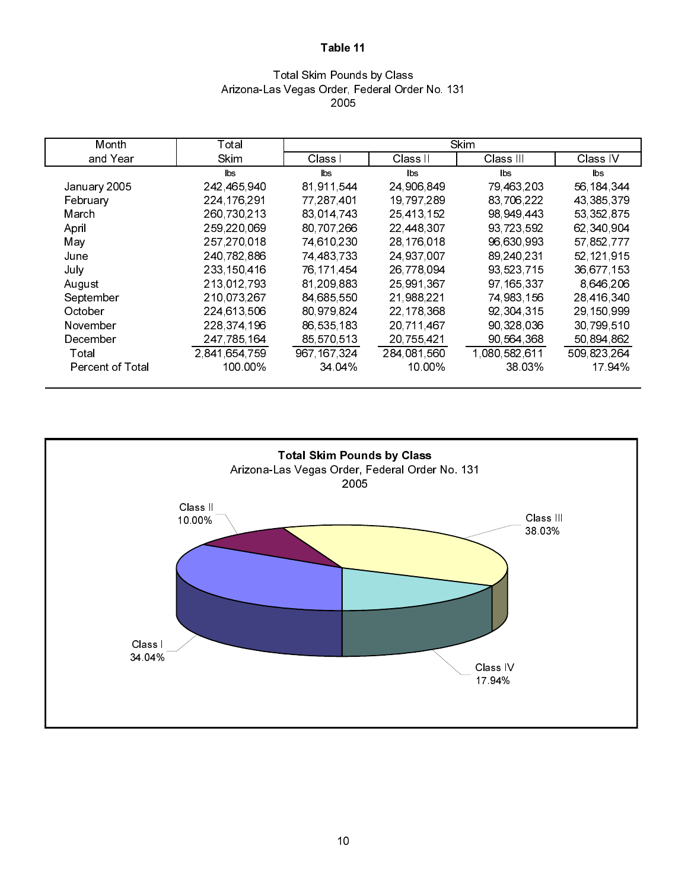### Total Skim Pounds by Class Arizona-Las Vegas Order, Federal Order No. 131 2005

| Month                   | Total         |              |              | Skim          |              |
|-------------------------|---------------|--------------|--------------|---------------|--------------|
| and Year                | <b>Skim</b>   | Class I      | Class II     | Class III     | Class IV     |
|                         | lbs           | lbs.         | lbs.         | lbs.          | <b>lbs</b>   |
| January 2005            | 242 465 940   | 81 911 544   | 24 906 849   | 79,463,203    | 56, 184, 344 |
| February                | 224 176 291   | 77, 287, 401 | 19 797 289   | 83,706,222    | 43,385,379   |
| March                   | 260 730 213   | 83,014,743   | 25,413,152   | 98,949,443    | 53, 352, 875 |
| April                   | 259 220 069   | 80,707,266   | 22,448,307   | 93,723,592    | 62,340,904   |
| May                     | 257,270,018   | 74,610,230   | 28, 176, 018 | 96,630,993    | 57,852,777   |
| June                    | 240 782 886   | 74,483,733   | 24 937 007   | 89,240,231    | 52,121,915   |
| July                    | 233 150 416   | 76, 171, 454 | 26,778,094   | 93,523,715    | 36,677,153   |
| August                  | 213 012 793   | 81,209,883   | 25,991,367   | 97 165 337    | 8,646,206    |
| September               | 210,073,267   | 84,685,550   | 21,988,221   | 74,983,156    | 28,416,340   |
| October                 | 224 613 506   | 80,979,824   | 22, 178, 368 | 92 304 315    | 29,150,999   |
| November                | 228 374 196   | 86,535,183   | 20,711,467   | 90 328 036    | 30,799,510   |
| December                | 247, 785, 164 | 85,570,513   | 20,755,421   | 90,564,368    | 50,894,862   |
| Total                   | 2 841 654 759 | 967 167 324  | 284 081 560  | 1,080,582,611 | 509 823 264  |
| <b>Percent of Total</b> | 100.00%       | 34 04%       | 10.00%       | 38.03%        | 17 94%       |

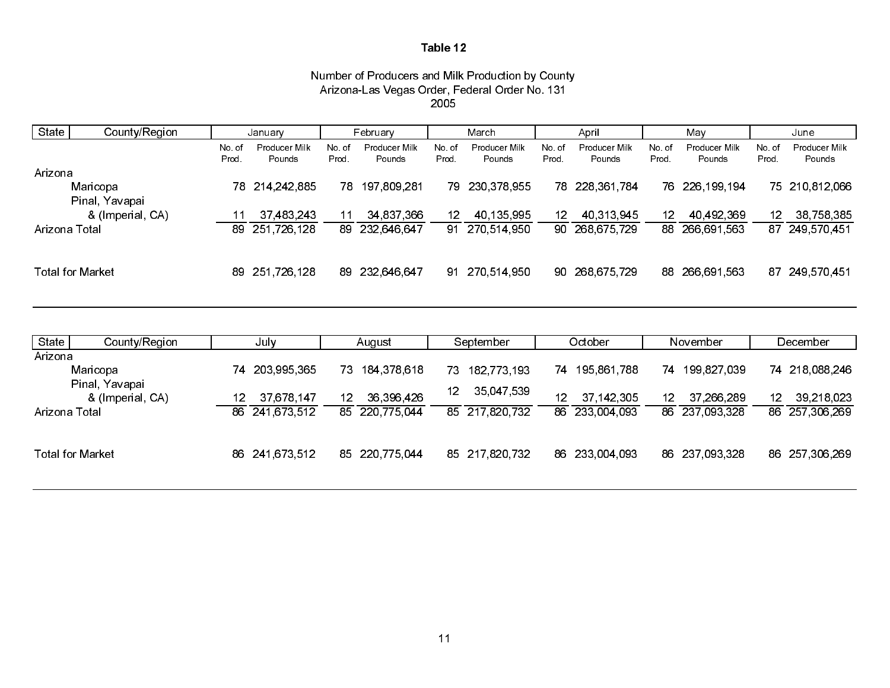#### Number of Producers and Milk Production by County Arizona-Las Vegas Order, Federal Order No. 131 2005

| State         | County/Region           | January         |                         |                 | February                     |                | March                        |                  | April                        |                | Mav                     |                 | June                         |
|---------------|-------------------------|-----------------|-------------------------|-----------------|------------------------------|----------------|------------------------------|------------------|------------------------------|----------------|-------------------------|-----------------|------------------------------|
|               |                         | No. of<br>Prod. | Producer Milk<br>Pounds | No. of<br>Prod. | Producer Milk<br>Pounds      | No.of<br>Prod. | Producer Milk<br>Pounds      | No.of<br>Prod.   | Producer Milk<br>Pounds      | No.of<br>Prod. | Producer Milk<br>Pounds | No. of<br>Prod. | Producer Milk<br>Pounds      |
| Arizona       |                         |                 |                         |                 |                              |                |                              |                  |                              |                |                         |                 |                              |
|               | Maricopa                | 78 214 242 885  |                         |                 | 78 197 809 281               |                | 79 230,378,955               |                  | 78 228,361,784               |                | 76 226 199 194          |                 | 75 210,812,066               |
|               | Pinal, Yavapai          |                 |                         |                 |                              |                |                              |                  |                              |                |                         |                 |                              |
| Arizona Total | & (Imperial, CA)        | 89 251 726 128  | 37,483,243              |                 | 34,837,366<br>89 232 646 647 | 12.            | 40,135,995<br>91 270 514 950 | 12 <sup>12</sup> | 40.313.945<br>90 268 675 729 | -12            | 40.492.369              | 12.             | 38,758,385<br>87 249 570 451 |
|               |                         |                 |                         |                 |                              |                |                              |                  |                              |                | 88 266,691,563          |                 |                              |
|               |                         |                 |                         |                 |                              |                |                              |                  |                              |                |                         |                 |                              |
|               | <b>Total for Market</b> | 89 251,726,128  |                         |                 | 89 232,646,647               |                | 91 270,514,950               |                  | 90 268 675 729               |                | 88 266,691,563          |                 | 87 249,570,451               |

| State         | County/Region                      |                 | July           |     | August         |     | September      |     | October        | November        |                |    | December       |
|---------------|------------------------------------|-----------------|----------------|-----|----------------|-----|----------------|-----|----------------|-----------------|----------------|----|----------------|
| Arizona       |                                    |                 |                |     |                |     |                |     |                |                 |                |    |                |
|               | Maricopa                           |                 | 74 203 995 365 | 73. | 184 378 618    | 73  | 182,773,193    |     | 74 195 861 788 |                 | 74 199 827 039 |    | 74 218 088 246 |
|               | Pinal, Yavapai<br>& (Imperial, CA) | 12 <sup>1</sup> | 37,678,147     | 12  | 36 396 426     | 12. | 35,047,539     | 12. | 37 142 305     | 12 <sup>7</sup> | 37 266 289     | 12 | 39 218 023     |
| Arizona Total |                                    |                 | 86 241 673 512 |     | 85 220 775 044 |     | 85 217 820 732 |     | 86 233,004,093 |                 | 86 237 093 328 |    | 86 257 306 269 |
|               | Total for Market                   |                 | 86 241 673 512 |     | 85 220 775 044 |     | 85 217 820 732 |     | 86 233,004,093 |                 | 86 237 093 328 |    | 86 257 306 269 |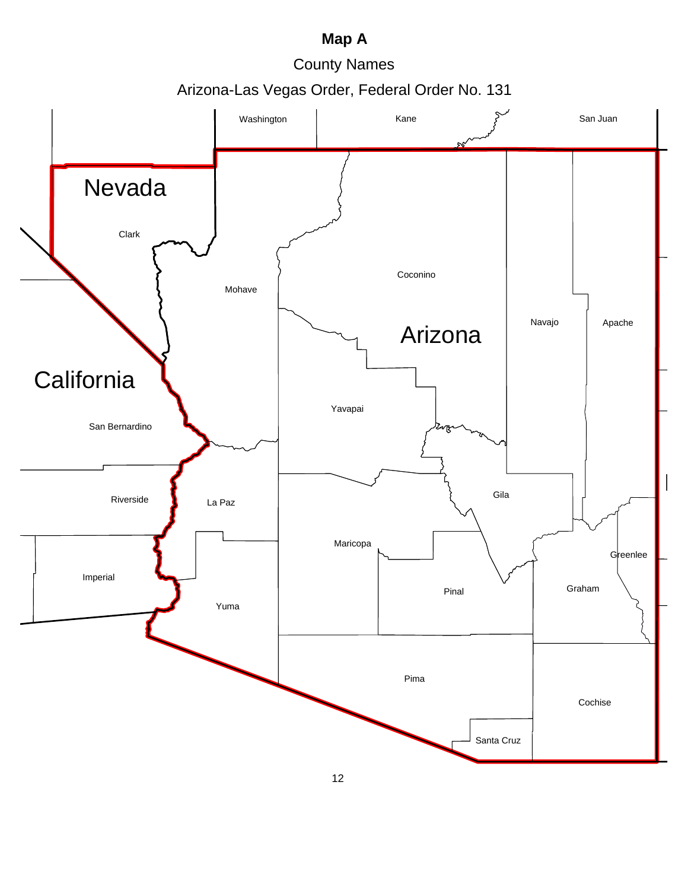# **Map A**

County Names

Arizona-Las Vegas Order, Federal Order No. 131

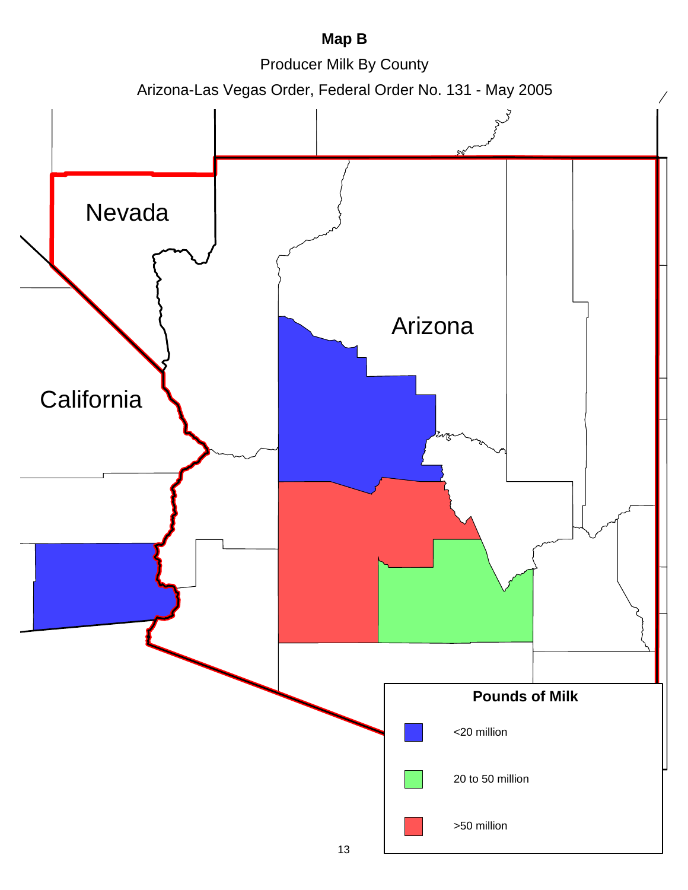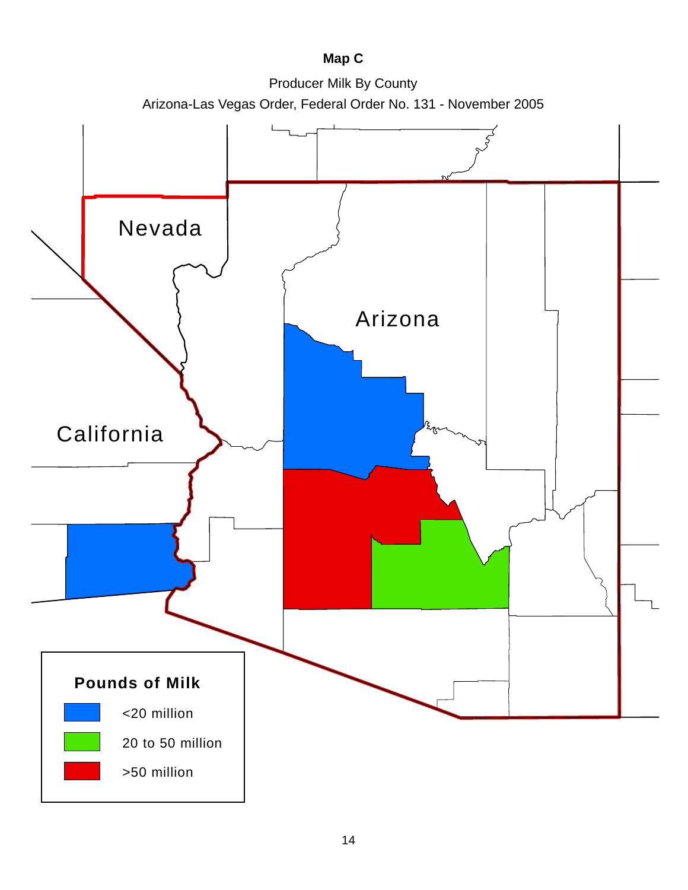# **Map C**

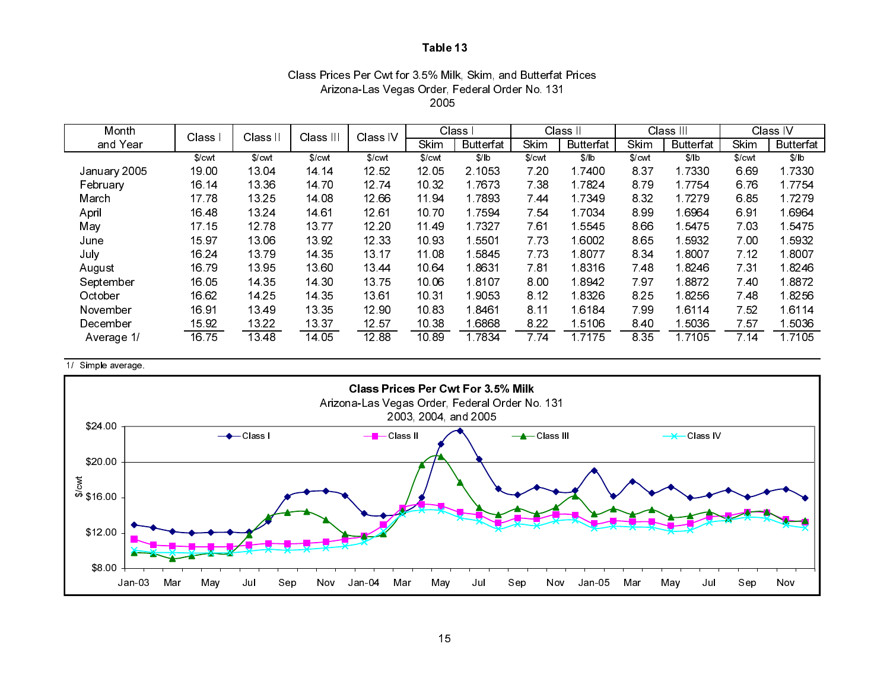### Class Prices Per Cwt for 3.5% Milk, Skim, and Butterfat Prices Arizona-Las Vegas Order, Federal Order No. 131 2005

| Month        | Class  | Class II | Class III | Class IV |        | Class            | Class II |                  | Class III |                  | Class IV |                  |
|--------------|--------|----------|-----------|----------|--------|------------------|----------|------------------|-----------|------------------|----------|------------------|
| and Year     |        |          |           |          | Skim   | <b>Butterfat</b> | Skim     | <b>Butterfat</b> | Skim      | <b>Butterfat</b> | Skim     | <b>Butterfat</b> |
|              | \$/cwt | \$/cwt   | \$/cwt    | \$/cwt   | \$/cwt | \$/lb            | \$/cwt   | \$/lb            | \$/cwt    | \$/lb            | \$/cwt   | \$/lb            |
| January 2005 | 19.00  | 13 04    | 14 14     | 12 52    | 12 05  | 2 1053           | 7 20     | 1.7400           | 837       | 1.7330           | 6.69     | 17330            |
| February     | 16.14  | 13.36    | 1470      | 1274     | 10 32  | 17673            | 7 38     | 1 7 8 2 4        | 879       | 17754            | 676      | 17754            |
| March        | 1778   | 13 25    | 14.08     | 12.66    | 1194   | 17893            | 744      | 17349            | 8 3 2     | 17279            | 685      | 17279            |
| April        | 1648   | 13 24    | 14 61     | 12 61    | 1070   | 17594            | 7 54     | 1.7034           | 899       | 1.6964           | 6.91     | 16964            |
| May          | 17 15  | 1278     | 1377      | 12.20    | 1149   | 1 7 3 2 7        | 761      | 15545            | 866       | 15475            | 703      | 15475            |
| June         | 1597   | 13.06    | 13.92     | 12 33    | 10 93  | ∣5501            | 7 73     | 1.6002           | 865       | 15932            | 7.00     | 15932            |
| July         | 16 24  | 1379     | 14 35     | 13 17    | 11.08  | 5845             | 7 73     | 18077            | 8 3 4     | 1 8007           | 7 12     | 1.8007           |
| August       | 1679   | 13 95    | 13.60     | 13 44    | 10 64  | 18631            | 781      | 18316            | 7.48      | 1.8246           | 731      | 18246            |
| September    | 16.05  | 14 35    | 14.30     | 1375     | 10.06  | 18107            | 8.00     | 18942            | 797       | 18872            | 740      | 18872            |
| October      | 16 62  | 14 25    | 14 35     | 13.61    | 10 31  | 9053             | 8 1 2    | 1.8326           | 8 2 5     | 18256            | 7 48     | 18256            |
| November     | 1691   | 13 49    | 13 35     | 12 90    | 1083   | 18461            | 8.11     | 16184            | 799       | 16114            | 752      | 16114            |
| December     | 15 92  | 13.22    | 13.37     | 12 57    | 10 38  | 6868             | 8 2 2    | 1.5106           | 8.40      | 1.5036           | 757      | 15036            |
| Average 1/   | 1675   | 13 48    | 14 05     | 12.88    | 10.89  | 1.7834           | 7 74     | 17175            | 8 3 5     | 17105            | 714      | 1.7105           |

1/ Simple average.

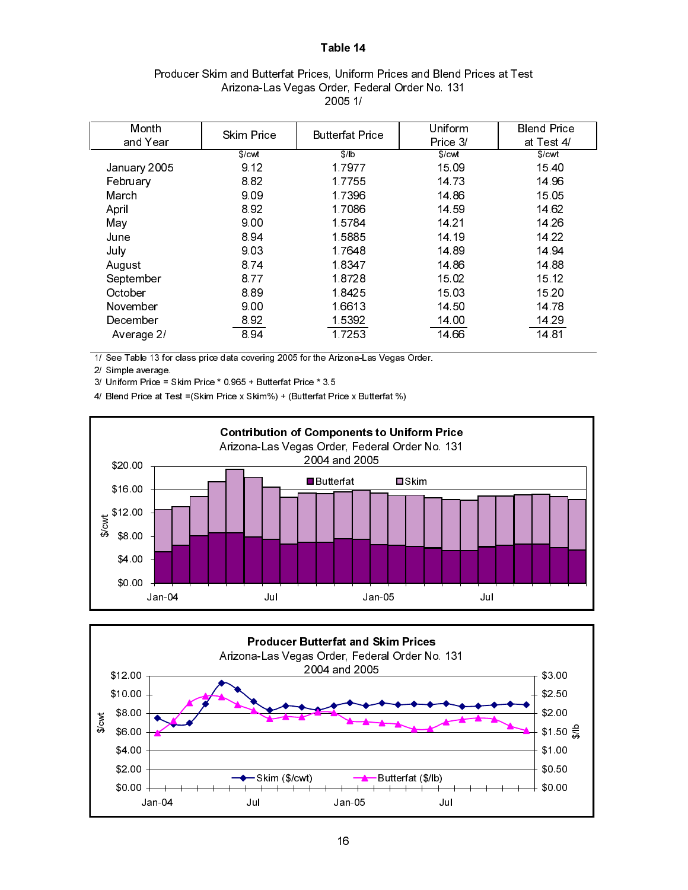| Producer Skim and Butterfat Prices, Uniform Prices and Blend Prices at Test |
|-----------------------------------------------------------------------------|
| Arizona-Las Vegas Order, Federal Order No. 131                              |
| 2005 1/                                                                     |

| Month        | <b>Skim Price</b> | <b>Butterfat Price</b> | Uniform  | <b>Blend Price</b> |
|--------------|-------------------|------------------------|----------|--------------------|
| and Year     |                   |                        | Price 3/ | at Test 4/         |
|              | \$/cut            | $\sqrt{\frac{1}{b}}$   | \$/cwt   | \$/cwt             |
| January 2005 | 9.12              | 17977                  | 15.09    | 1540               |
| February     | 882               | 17755                  | 14 73    | 14 96              |
| March        | 9.09              | 1.7396                 | 14 86    | 15 05              |
| April        | 892               | 17086                  | 14 59    | 14 62              |
| May          | 9.00              | 15784                  | 14 21    | 14 26              |
| June         | 894               | 15885                  | 14 19    | 14 22              |
| July         | 9.03              | 1.7648                 | 14 89    | 14 94              |
| August       | 874               | 18347                  | 14 86    | 14 88              |
| September    | 8.77              | 1.8728                 | 15.02    | 15 12              |
| October      | 889               | 18425                  | 15.03    | 15 20              |
| November     | 9.00              | 1.6613                 | 14 50    | 14 78              |
| December     | 8.92              | 1.5392                 | 14.00    | 14 29              |
| Average 2/   | 894               | 17253                  | 14 66    | 1481               |

1/ See Table 13 for class price data covering 2005 for the Arizona-Las Vegas Order.

2/ Simple average.

3/ Uniform Price = Skim Price \* 0.965 + Butterfat Price \* 3.5

4/ Blend Price at Test =(Skim Price x Skim%) + (Butterfat Price x Butterfat %)



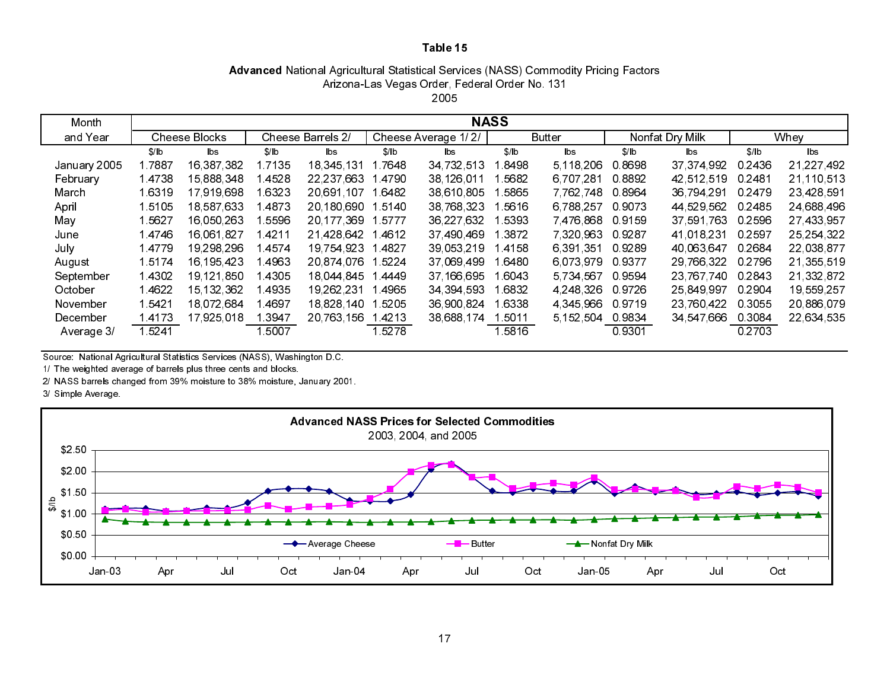# Advanced National Agricultural Statistical Services (NASS) Commodity Pricing Factors Arizona-Las Vegas Order, Federal Order No. 131

| ∽ |      |  |
|---|------|--|
|   | 2005 |  |

| Month        |        |                      |        |                   |       |                     | <b>NASS</b> |                        |        |                 |           |              |
|--------------|--------|----------------------|--------|-------------------|-------|---------------------|-------------|------------------------|--------|-----------------|-----------|--------------|
| and Year     |        | <b>Cheese Blocks</b> |        | Cheese Barrels 2/ |       | Cheese Average 1/2/ |             | <b>Butter</b>          |        | Nonfat Dry Milk |           | Whey         |
|              | S/ b   | lbs.                 | \$/ b  | lbs               | \$/ b | lbs                 | \$/lb       | $\mathsf{b}\mathsf{s}$ | \$/lb  | lbs             | \$/lb     | lbs.         |
| January 2005 | 17887  | 16 387 382           | 7135   | 18.345.131        | 7648  | 34 732 513          | 8498        | 5 118 206              | 0.8698 | 37 374 992      | 0 24 36   | 21, 227, 492 |
| February     | 14738  | 15,888,348           | 4528   | 22 237 663        | 4790  | 38 126 011          | 5682        | 6,707,281              | 0.8892 | 42 512 519      | 0 2481    | 21,110,513   |
| March        | 1.6319 | 17,919,698           | 6323   | 20,691,107        | 6482  | 38,610,805          | 5865        | 7.762.748              | 0.8964 | 36 794 291      | 0.2479    | 23,428,591   |
| April        | 1.5105 | 18,587,633           | 4873   | 20 180 690        | 5140  | 38 768 323          | 5616        | 6,788,257              | 0.9073 | 44 529 562      | 0 2485    | 24,688,496   |
| May          | 1 5627 | 16,050,263           | 5596   | 20 177 369        | 15777 | 36 227 632          | 5393        | 7476.868               | 09159  | 37 591 763      | 0.2596    | 27 433 957   |
| June         | 1.4746 | 16,061,827           | l 4211 | 21 428 642        | 4612  | 37 490 469          | 1 3872      | 7 320 963              | 09287  | 41 018 231      | 0.2597    | 25, 254, 322 |
| July         | 14779  | 19 298 296           | 4574   | 19 754 923        | 4827  | 39,053,219          | 4158        | 6 391 351              | 0.9289 | 40 063 647      | 0.2684    | 22,038,877   |
| August       | 15174  | 16, 195, 423         | 4963   | 20 874 076        | 5224  | 37 069 499          | 6480        | 6.073.979              | 0.9377 | 29 766 322      | 0.2796    | 21,355,519   |
| September    | 14302  | 19,121,850           | 14305  | 18.044.845        | 4449  | 37 166 695          | 1 6043      | 5,734,567              | 0.9594 | 23,767,740      | 0.2843    | 21,332,872   |
| October      | 14622  | 15, 132, 362         | 4935   | 19, 262, 231      | 4965  | 34 394 593          | 6832        | 4 248 326              | 0.9726 | 25 849 997      | 0.2904    | 19,559,257   |
| November     | 1.5421 | 18.072.684           | 4697   | 18,828,140        | 5205  | 36 900 824          | 6338        | 4 345 966              | 0.9719 | 23 760 422      | 0.3055    | 20,886,079   |
| December     | 14173  | 17.925.018           | 3947   | 20 763 156        | 4213  | 38,688,174          | 5011        | 5 152 504              | 0.9834 | 34 547 666      | 0.3084    | 22,634,535   |
| Average 3/   | 15241  |                      | 5007   |                   | 5278  |                     | 15816       |                        | 09301  |                 | 0 2 7 0 3 |              |

Source: National Agricultural Statistics Services (NASS), Washington D.C.

1/ The weighted average of barrels plus three cents and blocks.

2/ NASS barrels changed from 39% moisture to 38% moisture, January 2001.

3/ Simple Average.

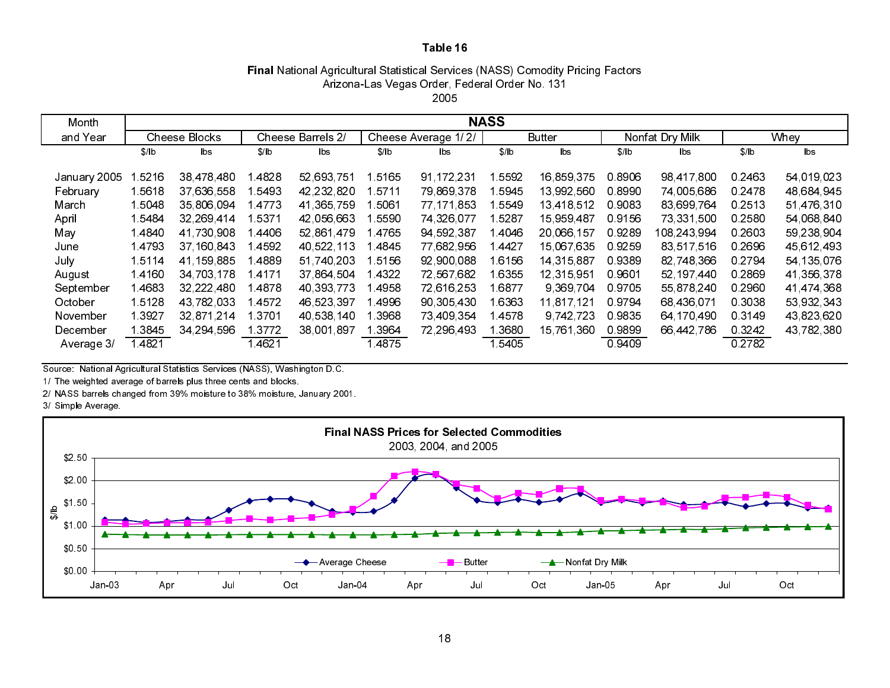#### Final National Agricultural Statistical Services (NASS) Comodity Pricing Factors 2005Arizona-Las Vegas Order, Federal Order No. 131

| Month                                      |                                  |                                                      |                              |                                                      |                              |                                                        | <b>NASS</b>                        |                                                      |                                      |                                                      |                                      |                                                      |
|--------------------------------------------|----------------------------------|------------------------------------------------------|------------------------------|------------------------------------------------------|------------------------------|--------------------------------------------------------|------------------------------------|------------------------------------------------------|--------------------------------------|------------------------------------------------------|--------------------------------------|------------------------------------------------------|
| and Year                                   |                                  | <b>Cheese Blocks</b>                                 |                              | Cheese Barrels 2/                                    |                              | Cheese Average 1/2/                                    |                                    | <b>Butter</b>                                        |                                      | Nonfat Dry Milk                                      |                                      | Whey                                                 |
|                                            | $$$ / $b$                        | lbs                                                  | \$/ b                        | lbs.                                                 | \$/ b                        | lbs                                                    | \$/lb                              | lbs                                                  | $$$ / $b$                            | b s                                                  | S/1b                                 | $\mathsf{b}\mathsf{s}$                               |
| January 2005<br>February<br>March<br>April | 5216<br>15618<br>1.5048<br>15484 | 38 478 480<br>37 636 558<br>35,806,094<br>32 269 414 | 4828<br>5493<br>4773<br>5371 | 52 693 751<br>42,232,820<br>41,365,759<br>42 056 663 | 5165<br>5711<br>5061<br>5590 | 91, 172, 231<br>79 869 378<br>77 171 853<br>74,326,077 | 1 5592<br>5945<br>  5549<br>1 5287 | 16,859,375<br>13 992 560<br>13,418,512<br>15,959,487 | 0.8906<br>0.8990<br>0.9083<br>0.9156 | 98 417 800<br>74,005,686<br>83,699,764<br>73,331,500 | 0.2463<br>0.2478<br>0 2513<br>0 2580 | 54 019 023<br>48,684,945<br>51,476,310<br>54,068,840 |
| May                                        | 14840                            | 41 730 908                                           | 4406                         | 52,861,479                                           | 14765                        | 94 592 387                                             | 1 4046                             | 20,066,157                                           | 09289                                | 108 243 994                                          | 0 2603                               | 59,238,904                                           |
| June                                       | 14793                            | 37 160 843                                           | 4592                         | 40,522,113                                           | 14845                        | 77 682 956                                             | 14427                              | 15 067 635                                           | 09259                                | 83,517,516                                           | 0 2696                               | 45,612,493                                           |
| July                                       | 15114                            | 41 159 885                                           | 4889                         | 51 740 203                                           | 15156                        | 92 900 088                                             | 16156                              | 14 315 887                                           | 0.9389                               | 82 748 366                                           | 0 2794                               | 54 135 076                                           |
| August                                     | 14160                            | 34,703,178                                           | 1 4171                       | 37,864,504                                           | 1 4322                       | 72,567,682                                             | 1 6355                             | 12,315,951                                           | 0 9601                               | 52, 197, 440                                         | 0.2869                               | 41,356,378                                           |
| September                                  | 14683                            | 32,222,480                                           | 4878                         | 40,393,773                                           | 4958                         | 72,616,253                                             | 1 6877                             | 9,369,704                                            | 09705                                | 55,878,240                                           | 0 2960                               | 41 474 368                                           |
| October                                    | 15128                            | 43,782,033                                           | 4572                         | 46,523,397                                           | 4996                         | 90,305,430                                             | 1 6363                             | 11,817,121                                           | 09794                                | 68,436,071                                           | 0 30 38                              | 53,932,343                                           |
| November                                   | 1 3 9 2 7                        | 32,871,214                                           | 3701                         | 40,538,140                                           | 3968                         | 73,409,354                                             | 1 4578                             | 9,742,723                                            | 09835                                | 64 170 490                                           | 0.3149                               | 43,823,620                                           |
| December                                   | 3845                             | 34 294 596                                           | 3772                         | 38.001.897                                           | 1.3964                       | 72 296 493                                             | .3680                              | 15,761,360                                           | 0.9899                               | 66,442,786                                           | 0 3 2 4 2                            | 43,782,380                                           |
| Average 3/                                 | 1.4821                           |                                                      | 4621                         |                                                      | 14875                        |                                                        | 15405                              |                                                      | 0 9409                               |                                                      | 0 2782                               |                                                      |

Source: National Agricultural Statistics Services (NASS), Washington D.C.

1/ The weighted average of barrels plus three cents and blocks.

2/ NASS barrels changed from 39% moisture to 38% moisture, January 2001.

#### 3/ Simple Average.

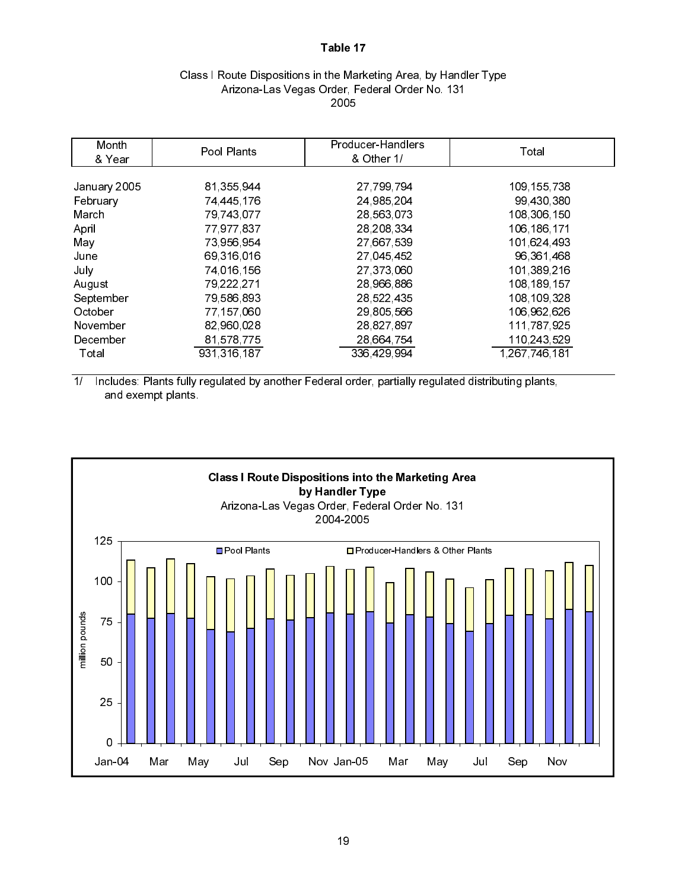## Class I Route Dispositions in the Marketing Area, by Handler Type Arizona-Las Vegas Order, Federal Order No. 131 2005

| Month<br>& Year | Pool Plants   | Producer-Handlers<br>& Other 1/ | Total         |
|-----------------|---------------|---------------------------------|---------------|
|                 |               |                                 |               |
| January 2005    | 81 355 944    | 27,799,794                      | 109 155 738   |
| February        | 74,445,176    | 24,985,204                      | 99,430,380    |
| March           | 79,743,077    | 28,563,073                      | 108 306 150   |
| April           | 77,977,837    | 28, 208, 334                    | 106, 186, 171 |
| May             | 73,956,954    | 27,667,539                      | 101 624 493   |
| June            | 69,316,016    | 27,045,452                      | 96, 361, 468  |
| July            | 74 016 156    | 27,373,060                      | 101,389,216   |
| August          | 79 222 271    | 28,966,886                      | 108 189 157   |
| September       | 79,586,893    | 28,522,435                      | 108 109 328   |
| October         | 77,157,060    | 29,805,566                      | 106 962 626   |
| November        | 82,960,028    | 28,827,897                      | 111,787,925   |
| December        | 81,578,775    | 28,664,754                      | 110 243 529   |
| Total           | 931, 316, 187 | 336 429 994                     | 1 267 746 181 |

1/ Includes: Plants fully regulated by another Federal order, partially regulated distributing plants, and exempt plants.